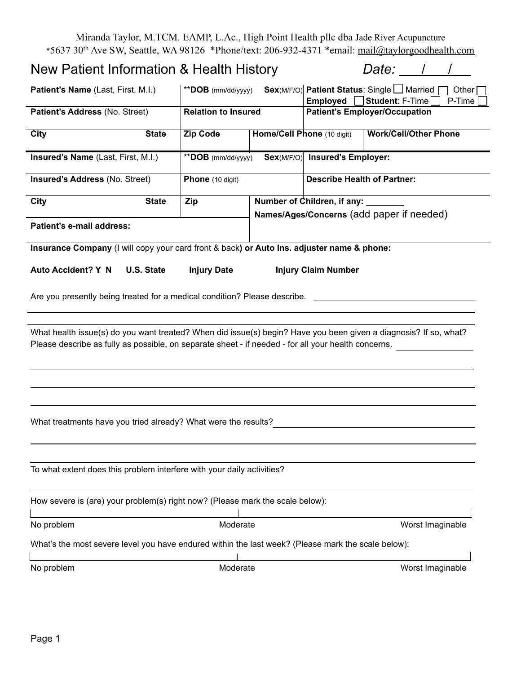Miranda Taylor, M.TCM. EAMP, L.Ac., High Point Health pllc dba Jade River Acupuncture \*5637 30th Ave SW, Seattle, WA 98126 \*Phone/text: 206-932-4371 \*email: [mail@taylorgoodhealth.com](mailto:mail@taylorgoodhealth.com)

| New Patient Information & Health History<br>Date:  /                                                                                                                                                                    |                                                                                                    |                            |  |                                    |                                                                                   |  |
|-------------------------------------------------------------------------------------------------------------------------------------------------------------------------------------------------------------------------|----------------------------------------------------------------------------------------------------|----------------------------|--|------------------------------------|-----------------------------------------------------------------------------------|--|
| Patient's Name (Last, First, M.I.)                                                                                                                                                                                      |                                                                                                    | **DOB (mm/dd/yyyy)         |  | <b>Employed</b>                    | Sex(M/F/O) Patient Status: Single   Married<br>Other<br>Student: F-Time<br>P-Time |  |
| Patient's Address (No. Street)                                                                                                                                                                                          |                                                                                                    | <b>Relation to Insured</b> |  |                                    | <b>Patient's Employer/Occupation</b>                                              |  |
| City                                                                                                                                                                                                                    | <b>State</b>                                                                                       | Zip Code                   |  | Home/Cell Phone (10 digit)         | <b>Work/Cell/Other Phone</b>                                                      |  |
| Insured's Name (Last, First, M.I.)                                                                                                                                                                                      |                                                                                                    | **DOB (mm/dd/yyyy)         |  | Sex(M/F/O) Insured's Employer:     |                                                                                   |  |
| Insured's Address (No. Street)                                                                                                                                                                                          |                                                                                                    | Phone (10 digit)           |  | <b>Describe Health of Partner:</b> |                                                                                   |  |
| City                                                                                                                                                                                                                    | <b>State</b>                                                                                       | Zip                        |  | Number of Children, if any: _____  |                                                                                   |  |
| Patient's e-mail address:                                                                                                                                                                                               |                                                                                                    |                            |  |                                    | Names/Ages/Concerns (add paper if needed)                                         |  |
| Insurance Company (I will copy your card front & back) or Auto Ins. adjuster name & phone:                                                                                                                              |                                                                                                    |                            |  |                                    |                                                                                   |  |
| <b>Auto Accident? Y N</b>                                                                                                                                                                                               | <b>U.S. State</b>                                                                                  | <b>Injury Date</b>         |  | <b>Injury Claim Number</b>         |                                                                                   |  |
| Are you presently being treated for a medical condition? Please describe.                                                                                                                                               |                                                                                                    |                            |  |                                    |                                                                                   |  |
| What health issue(s) do you want treated? When did issue(s) begin? Have you been given a diagnosis? If so, what?<br>Please describe as fully as possible, on separate sheet - if needed - for all your health concerns. |                                                                                                    |                            |  |                                    |                                                                                   |  |
| What treatments have you tried already? What were the results?                                                                                                                                                          |                                                                                                    |                            |  |                                    |                                                                                   |  |
| To what extent does this problem interfere with your daily activities?                                                                                                                                                  |                                                                                                    |                            |  |                                    |                                                                                   |  |
| How severe is (are) your problem(s) right now? (Please mark the scale below):                                                                                                                                           |                                                                                                    |                            |  |                                    |                                                                                   |  |
| No problem                                                                                                                                                                                                              |                                                                                                    | Moderate                   |  |                                    | Worst Imaginable                                                                  |  |
|                                                                                                                                                                                                                         | What's the most severe level you have endured within the last week? (Please mark the scale below): |                            |  |                                    |                                                                                   |  |
| No problem                                                                                                                                                                                                              |                                                                                                    | Moderate                   |  |                                    | Worst Imaginable                                                                  |  |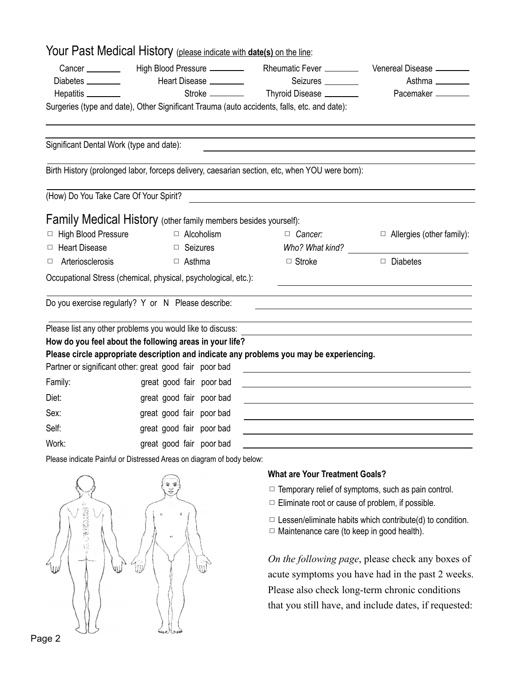|  | Your Past Medical History (please indicate with date(s) on the line |
|--|---------------------------------------------------------------------|
|--|---------------------------------------------------------------------|

| Cancer ________                                                       |     |                          | High Blood Pressure _______ | Rheumatic Fever ________                                                                                         | Venereal Disease ________                                                                                                                                                                                                     |
|-----------------------------------------------------------------------|-----|--------------------------|-----------------------------|------------------------------------------------------------------------------------------------------------------|-------------------------------------------------------------------------------------------------------------------------------------------------------------------------------------------------------------------------------|
| Diabetes ________                                                     |     |                          | Heart Disease ________      | Seizures ________                                                                                                | Asthma                                                                                                                                                                                                                        |
| Hepatitis ________                                                    |     |                          | Stroke ________             | Thyroid Disease _________                                                                                        | Pacemaker ________                                                                                                                                                                                                            |
|                                                                       |     |                          |                             | Surgeries (type and date), Other Significant Trauma (auto accidents, falls, etc. and date):                      |                                                                                                                                                                                                                               |
| Significant Dental Work (type and date):                              |     |                          |                             |                                                                                                                  |                                                                                                                                                                                                                               |
|                                                                       |     |                          |                             | Birth History (prolonged labor, forceps delivery, caesarian section, etc, when YOU were born):                   |                                                                                                                                                                                                                               |
| (How) Do You Take Care Of Your Spirit?                                |     |                          |                             | <u> 1980 - Jan Sterling Sterling (d. 1980)</u>                                                                   |                                                                                                                                                                                                                               |
| Family Medical History (other family members besides yourself):       |     |                          |                             |                                                                                                                  |                                                                                                                                                                                                                               |
| □ High Blood Pressure                                                 |     |                          | $\Box$ Alcoholism           | $\Box$ Cancer:                                                                                                   | $\Box$ Allergies (other family):                                                                                                                                                                                              |
| □ Heart Disease                                                       |     | $\Box$ Seizures          |                             | Who? What kind?                                                                                                  |                                                                                                                                                                                                                               |
| Arteriosclerosis<br>□                                                 |     | $\Box$ Asthma            |                             | $\Box$ Stroke                                                                                                    | $\Box$ Diabetes                                                                                                                                                                                                               |
| Occupational Stress (chemical, physical, psychological, etc.):        |     |                          |                             |                                                                                                                  | the control of the control of the control of the control of the control of the control of                                                                                                                                     |
| Do you exercise regularly? Y or N Please describe:                    |     |                          |                             |                                                                                                                  |                                                                                                                                                                                                                               |
| Please list any other problems you would like to discuss:             |     |                          |                             |                                                                                                                  |                                                                                                                                                                                                                               |
| How do you feel about the following areas in your life?               |     |                          |                             |                                                                                                                  |                                                                                                                                                                                                                               |
|                                                                       |     |                          |                             | Please circle appropriate description and indicate any problems you may be experiencing.                         |                                                                                                                                                                                                                               |
| Partner or significant other: great good fair poor bad                |     |                          |                             | <u> 1989 - Johann Barbara, martxa eta batarra (h. 1982).</u>                                                     |                                                                                                                                                                                                                               |
| Family:                                                               |     |                          | great good fair poor bad    | and the control of the control of the control of the control of the control of the control of the control of the |                                                                                                                                                                                                                               |
| Diet:                                                                 |     |                          | great good fair poor bad    |                                                                                                                  |                                                                                                                                                                                                                               |
| Sex:                                                                  |     | great good fair poor bad |                             |                                                                                                                  | the control of the control of the control of the control of the control of the control of the control of the control of the control of the control of the control of the control of the control of the control of the control |
| Self:                                                                 |     | great good fair poor bad |                             |                                                                                                                  |                                                                                                                                                                                                                               |
| Work:                                                                 |     | great good fair poor bad |                             |                                                                                                                  |                                                                                                                                                                                                                               |
| Please indicate Painful or Distressed Areas on diagram of body below: |     |                          |                             |                                                                                                                  |                                                                                                                                                                                                                               |
|                                                                       |     |                          |                             | <b>What are Your Treatment Goals?</b>                                                                            |                                                                                                                                                                                                                               |
|                                                                       |     |                          |                             |                                                                                                                  | $\Box$ Temporary relief of symptoms, such as pain control.                                                                                                                                                                    |
|                                                                       |     |                          |                             |                                                                                                                  | Eliminate root or cause of problem, if possible.                                                                                                                                                                              |
|                                                                       |     |                          |                             | Maintenance care (to keep in good health).                                                                       | $\Box$ Lessen/eliminate habits which contribute(d) to condition.                                                                                                                                                              |
|                                                                       |     |                          |                             |                                                                                                                  | On the following page, please check any boxes of                                                                                                                                                                              |
|                                                                       | JIb |                          |                             |                                                                                                                  | acute symptoms you have had in the past 2 weeks.                                                                                                                                                                              |
|                                                                       |     |                          |                             |                                                                                                                  | Please also check long-term chronic conditions                                                                                                                                                                                |

that you still have, and include dates, if requested: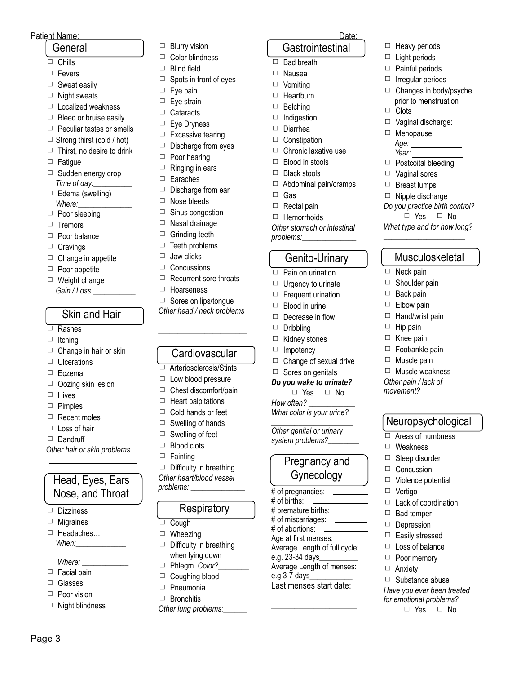#### Patient Name: \_\_\_\_\_\_\_\_\_\_\_\_\_\_\_\_\_\_\_\_\_\_\_\_\_ Date: \_\_\_\_\_\_\_\_\_

#### General

- $\Box$  Chills
- 䡦 Fevers
- $\Box$  Sweat easily
- $\Box$  Night sweats
- □ Localized weakness
- $\Box$  Bleed or bruise easily
- $\Box$  Peculiar tastes or smells
- $\Box$  Strong thirst (cold / hot)
- $\Box$  Thirst, no desire to drink
- $\square$  Fatigue
- □ Sudden energy drop  *Time of day:\_\_\_\_\_\_\_\_\_\_*
- $\Box$  Edema (swelling) *Where:*
- □ Poor sleeping
- 䡦 Tremors
- $\Box$  Poor balance
- □ Cravings
- $\Box$  Change in appetite
- $\Box$  Poor appetite
- $\Box$  Weight change *Gain / Loss \_\_\_\_\_\_\_\_\_\_\_*

# Skin and Hair

- 䡦 Rashes
- $\Box$  Itching
- $\Box$  Change in hair or skin
- $\Box$  Ulcerations
- 䡦 Eczema
- □ Oozing skin lesion
- 䡦 Hives
- 䡦 Pimples
- $\Box$  Recent moles
- $\Box$  Loss of hair
- 䡦 Dandruff

*Other hair or skin problems* 

## Head, Eyes, Ears Nose, and Throat

- 䡦 Dizziness
- $\Box$  Migraines
- □ Headaches... *When:\_\_\_\_*

## *Where:*

- $\Box$  Facial pain
- 䡦 Glasses

Page 3

- 䡦 Poor vision
- $\Box$  Night blindness
- $\Box$  Blurry vision
- □ Color blindness
- $\Box$  Blind field
- $\Box$  Spots in front of eyes
- $\Box$  Eye pain
- $\square$  Eye strain
- □ Cataracts
- 䡦 Eye Dryness
- $\square$  Excessive tearing
- $\Box$  Discharge from eyes
- $\Box$  Poor hearing
- $\Box$  Ringing in ears
- 䡦 Earaches
- $\Box$  Discharge from ear
- 䡦 Nose bleeds
- $\Box$  Sinus congestion
- □ Nasal drainage
- $\Box$  Grinding teeth
- $\Box$  Teeth problems
- $\Box$  Jaw clicks
- 䡦 Concussions
- $\Box$  Recurrent sore throats
- 䡦 Hoarseness
- □ Sores on lips/tongue
- *Other head / neck problems*

*\_\_\_\_\_\_\_\_\_\_\_\_\_\_\_\_\_\_\_\_\_\_\_*

## **Cardiovascular**

- □ Arteriosclerosis/Stints
- $\Box$  Low blood pressure
- $\Box$  Chest discomfort/pain
- $\Box$  Heart palpitations
- □ Cold hands or feet
- $\Box$  Swelling of hands
- $\Box$  Swelling of feet
- 䡦 Blood clots
- 䡦 Fainting
- $\Box$  Difficulty in breathing

*Other heart/blood vessel problems: \_\_\_\_\_\_\_\_\_\_\_\_\_\_*

## Respiratory

- □ Cough
- □ Wheezing
- $\Box$  Difficulty in breathing when lying down
- 䡦 Phlegm *Color?\_\_\_\_\_\_\_\_*
- 䡦 Coughing blood
- 䡦 Pneumonia
- 䡦 Bronchitis

#### *Other lung problems:\_\_\_\_\_\_*

 $\Box$  Heavy periods  $\Box$  Light periods 䡦 Painful periods □ Irregular periods

䡦 Clots

□ Changes in body/psyche prior to menstruation

□ Vaginal discharge: 䡦 Menopause: *Age: Year:*

□ Postcoital bleeding □ Vaginal sores □ Breast lumps □ Nipple discharge *Do you practice birth control?*  $\Box$  Yes  $\Box$  No *What type and for how long? \_\_\_\_\_\_\_\_\_\_\_\_\_\_\_\_\_\_\_\_\_*

Musculoskeletal

*\_\_\_\_\_\_\_\_\_\_\_\_\_\_\_\_\_\_\_\_\_*

䡦 Weakness □ Sleep disorder 䡦 Concussion □ Violence potential

□ Vertigo

□ Bad temper 䡦 Depression □ Easily stressed □ Loss of balance 䡦 Poor memory 䡦 Anxiety

 $\Box$  Lack of coordination

Substance abuse *Have you ever been treated for emotional problems?*  $\Box$  Yes  $\Box$  No

Neuropsychological  $\Box$  Areas of numbness

□ Neck pain  $\Box$  Shoulder pain  $\Box$  Back pain  $\Box$  Elbow pain  $\Box$  Hand/wrist pain  $\Box$  Hip pain □ Knee pain □ Foot/ankle pain □ Muscle pain 䡦 Muscle weakness *Other pain / lack of movement?*

## **Gastrointestinal**

- 䡦 Bad breath
- 䡦 Nausea
- □ Vomiting
- □ Heartburn
- 䡦 Belching
- 䡦 Indigestion
- 䡦 Diarrhea

䡦 Gas  $\Box$  Rectal pain 䡦 Hemorrhoids

*problems:\_\_\_\_\_\_\_\_\_\_\_\_\_\_*

䡦 Constipation

 $\Box$  Blood in stools □ Black stools

 $\Box$  Chronic laxative use

 $\Box$  Abdominal pain/cramps

*Other stomach or intestinal*

Genito-Urinary

 $\Box$  Change of sexual drive  $\Box$  Sores on genitals *Do you wake to urinate?* □ Yes □ No

*What color is your urine? \_\_\_\_\_\_\_\_\_\_\_\_\_\_\_\_\_\_\_\_\_ Other genital or urinary system problems?\_\_\_\_\_\_\_\_*

> Pregnancy and Gynecology

# of pregnancies: # of births: # premature births: # of miscarriages: # of abortions: Age at first menses: Average Length of full cycle:

e.g. 23-34 days\_\_\_\_\_\_\_\_\_\_

e.g 3-7 days\_\_\_\_\_\_\_\_\_\_\_

Average Length of menses:

Last menses start date:

\_\_\_\_\_\_\_\_\_\_\_\_\_\_\_\_\_\_\_\_\_\_

*How often? \_\_\_\_\_\_\_\_\_\_\_\_*

 $\Box$  Pain on urination  $\Box$  Urgency to urinate  $\Box$  Frequent urination 䡦 Blood in urine  $\Box$  Decrease in flow 䡦 Dribbling  $\Box$  Kidney stones □ Impotency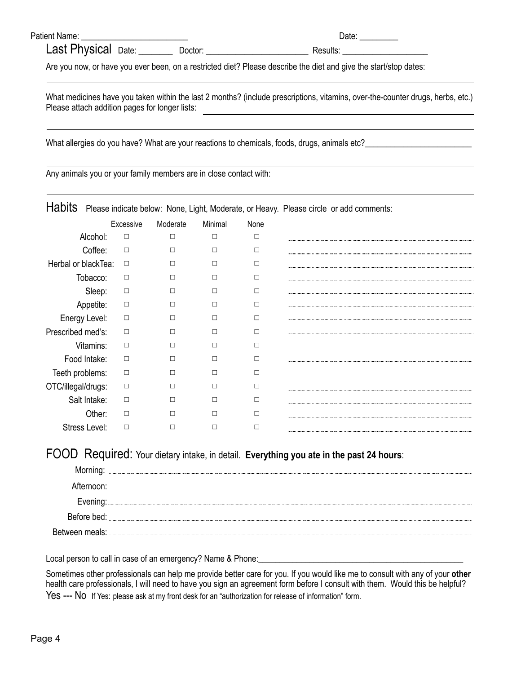| Patient Name: |  |
|---------------|--|
|               |  |

| Last Physical Date: |  | Doctor: | Results: |
|---------------------|--|---------|----------|
|---------------------|--|---------|----------|

Date:  $\frac{1}{\sqrt{1-\frac{1}{2}}}\frac{1}{\sqrt{1-\frac{1}{2}}}\frac{1}{\sqrt{1-\frac{1}{2}}}\frac{1}{\sqrt{1-\frac{1}{2}}}\frac{1}{\sqrt{1-\frac{1}{2}}}\frac{1}{\sqrt{1-\frac{1}{2}}}\frac{1}{\sqrt{1-\frac{1}{2}}}\frac{1}{\sqrt{1-\frac{1}{2}}}\frac{1}{\sqrt{1-\frac{1}{2}}}\frac{1}{\sqrt{1-\frac{1}{2}}}\frac{1}{\sqrt{1-\frac{1}{2}}}\frac{1}{\sqrt{1-\frac{1}{2}}}\frac{1}{\sqrt{1-\frac{1}{2}}}\frac{1}{\$ 

Are you now, or have you ever been, on a restricted diet? Please describe the diet and give the start/stop dates:

What medicines have you taken within the last 2 months? (include prescriptions, vitamins, over-the-counter drugs, herbs, etc.) Please attach addition pages for longer lists: 

What allergies do you have? What are your reactions to chemicals, foods, drugs, animals etc?

Any animals you or your family members are in close contact with:

# Habits Please indicate below: None, Light, Moderate, or Heavy. Please circle or add comments:

|                     | Excessive | Moderate | Minimal | None |  |
|---------------------|-----------|----------|---------|------|--|
| Alcohol:            | □         |          |         |      |  |
| Coffee:             | $\Box$    |          |         |      |  |
| Herbal or blackTea: | $\Box$    |          |         |      |  |
| Tobacco:            | □         |          |         |      |  |
| Sleep:              | $\Box$    |          |         |      |  |
| Appetite:           | $\Box$    |          |         |      |  |
| Energy Level:       | $\Box$    |          |         |      |  |
| Prescribed med's:   | $\Box$    |          |         |      |  |
| Vitamins:           | $\Box$    |          |         |      |  |
| Food Intake:        | $\Box$    |          |         |      |  |
| Teeth problems:     | $\Box$    |          |         |      |  |
| OTC/illegal/drugs:  | $\Box$    |          |         |      |  |
| Salt Intake:        | $\Box$    |          |         |      |  |
| Other:              | $\Box$    |          |         |      |  |
| Stress Level:       |           |          |         |      |  |
|                     |           |          |         |      |  |

# FOOD Required: Your dietary intake, in detail. **Everything you ate in the past 24 hours**:

| Afternoon:  |  |
|-------------|--|
|             |  |
| Before bed: |  |
|             |  |

Local person to call in case of an emergency? Name & Phone:

Sometimes other professionals can help me provide better care for you. If you would like me to consult with any of your **other** health care professionals, I will need to have you sign an agreement form before I consult with them. Would this be helpful? Yes --- No If Yes: please ask at my front desk for an "authorization for release of information" form.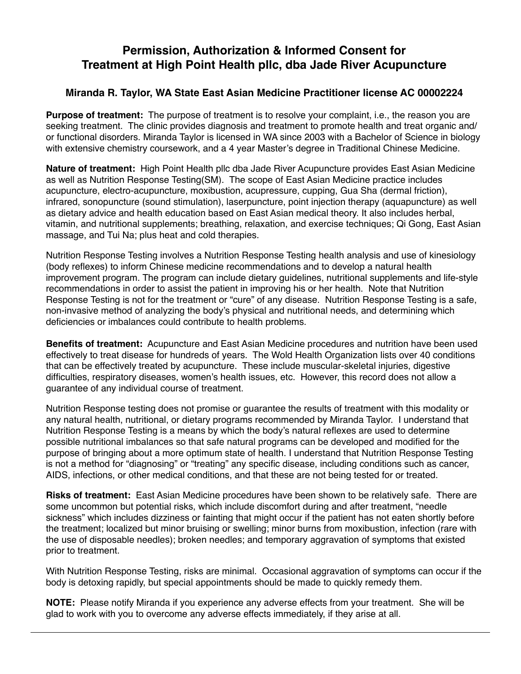# **Permission, Authorization & Informed Consent for Treatment at High Point Health pllc, dba Jade River Acupuncture**

## **Miranda R. Taylor, WA State East Asian Medicine Practitioner license AC 00002224**

**Purpose of treatment:** The purpose of treatment is to resolve your complaint, i.e., the reason you are seeking treatment. The clinic provides diagnosis and treatment to promote health and treat organic and/ or functional disorders. Miranda Taylor is licensed in WA since 2003 with a Bachelor of Science in biology with extensive chemistry coursework, and a 4 year Master's degree in Traditional Chinese Medicine.

**Nature of treatment:** High Point Health pllc dba Jade River Acupuncture provides East Asian Medicine as well as Nutrition Response Testing(SM). The scope of East Asian Medicine practice includes acupuncture, electro-acupuncture, moxibustion, acupressure, cupping, Gua Sha (dermal friction), infrared, sonopuncture (sound stimulation), laserpuncture, point injection therapy (aquapuncture) as well as dietary advice and health education based on East Asian medical theory. It also includes herbal, vitamin, and nutritional supplements; breathing, relaxation, and exercise techniques; Qi Gong, East Asian massage, and Tui Na; plus heat and cold therapies.

Nutrition Response Testing involves a Nutrition Response Testing health analysis and use of kinesiology (body reflexes) to inform Chinese medicine recommendations and to develop a natural health improvement program. The program can include dietary guidelines, nutritional supplements and life-style recommendations in order to assist the patient in improving his or her health. Note that Nutrition Response Testing is not for the treatment or "cure" of any disease. Nutrition Response Testing is a safe, non-invasive method of analyzing the body's physical and nutritional needs, and determining which deficiencies or imbalances could contribute to health problems.

**Benefits of treatment:** Acupuncture and East Asian Medicine procedures and nutrition have been used effectively to treat disease for hundreds of years. The Wold Health Organization lists over 40 conditions that can be effectively treated by acupuncture. These include muscular-skeletal injuries, digestive difficulties, respiratory diseases, women's health issues, etc. However, this record does not allow a guarantee of any individual course of treatment.

Nutrition Response testing does not promise or guarantee the results of treatment with this modality or any natural health, nutritional, or dietary programs recommended by Miranda Taylor. I understand that Nutrition Response Testing is a means by which the body's natural reflexes are used to determine possible nutritional imbalances so that safe natural programs can be developed and modified for the purpose of bringing about a more optimum state of health. I understand that Nutrition Response Testing is not a method for "diagnosing" or "treating" any specific disease, including conditions such as cancer, AIDS, infections, or other medical conditions, and that these are not being tested for or treated.

**Risks of treatment:** East Asian Medicine procedures have been shown to be relatively safe. There are some uncommon but potential risks, which include discomfort during and after treatment, "needle sickness" which includes dizziness or fainting that might occur if the patient has not eaten shortly before the treatment; localized but minor bruising or swelling; minor burns from moxibustion, infection (rare with the use of disposable needles); broken needles; and temporary aggravation of symptoms that existed prior to treatment.

With Nutrition Response Testing, risks are minimal. Occasional aggravation of symptoms can occur if the body is detoxing rapidly, but special appointments should be made to quickly remedy them.

**NOTE:** Please notify Miranda if you experience any adverse effects from your treatment. She will be glad to work with you to overcome any adverse effects immediately, if they arise at all.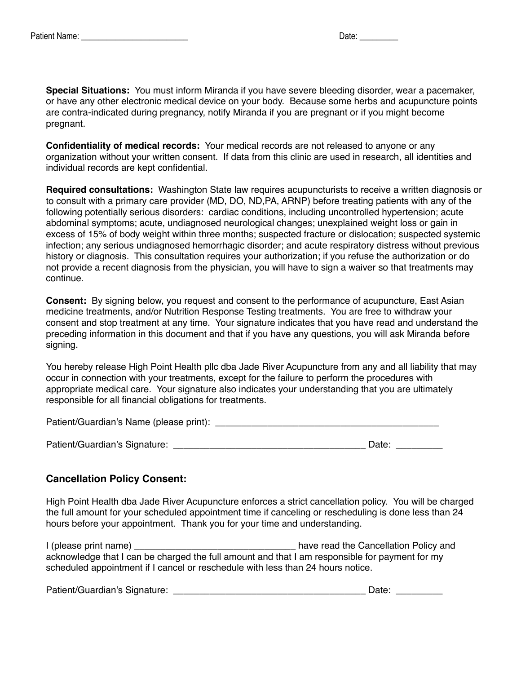**Special Situations:** You must inform Miranda if you have severe bleeding disorder, wear a pacemaker, or have any other electronic medical device on your body. Because some herbs and acupuncture points are contra-indicated during pregnancy, notify Miranda if you are pregnant or if you might become pregnant.

**Confidentiality of medical records:** Your medical records are not released to anyone or any organization without your written consent. If data from this clinic are used in research, all identities and individual records are kept confidential.

**Required consultations:** Washington State law requires acupuncturists to receive a written diagnosis or to consult with a primary care provider (MD, DO, ND,PA, ARNP) before treating patients with any of the following potentially serious disorders: cardiac conditions, including uncontrolled hypertension; acute abdominal symptoms; acute, undiagnosed neurological changes; unexplained weight loss or gain in excess of 15% of body weight within three months; suspected fracture or dislocation; suspected systemic infection; any serious undiagnosed hemorrhagic disorder; and acute respiratory distress without previous history or diagnosis. This consultation requires your authorization; if you refuse the authorization or do not provide a recent diagnosis from the physician, you will have to sign a waiver so that treatments may continue.

**Consent:** By signing below, you request and consent to the performance of acupuncture, East Asian medicine treatments, and/or Nutrition Response Testing treatments. You are free to withdraw your consent and stop treatment at any time. Your signature indicates that you have read and understand the preceding information in this document and that if you have any questions, you will ask Miranda before signing.

You hereby release High Point Health pllc dba Jade River Acupuncture from any and all liability that may occur in connection with your treatments, except for the failure to perform the procedures with appropriate medical care. Your signature also indicates your understanding that you are ultimately responsible for all financial obligations for treatments.

Patient/Guardian's Name (please print): \_\_\_\_\_\_\_\_\_\_\_\_\_\_\_\_\_\_\_\_\_\_\_\_\_\_\_\_\_\_\_\_\_\_\_\_\_\_\_\_\_\_\_

| Patient/Guardian's Signature: | Date |  |
|-------------------------------|------|--|
|-------------------------------|------|--|

## **Cancellation Policy Consent:**

High Point Health dba Jade River Acupuncture enforces a strict cancellation policy. You will be charged the full amount for your scheduled appointment time if canceling or rescheduling is done less than 24 hours before your appointment. Thank you for your time and understanding.

I (please print name) **I** contain the cancellation Policy and acknowledge that I can be charged the full amount and that I am responsible for payment for my scheduled appointment if I cancel or reschedule with less than 24 hours notice.

| Patient/Guardian's Signature: |  | $\sim$ $\sim$ $\sim$ |
|-------------------------------|--|----------------------|
|-------------------------------|--|----------------------|